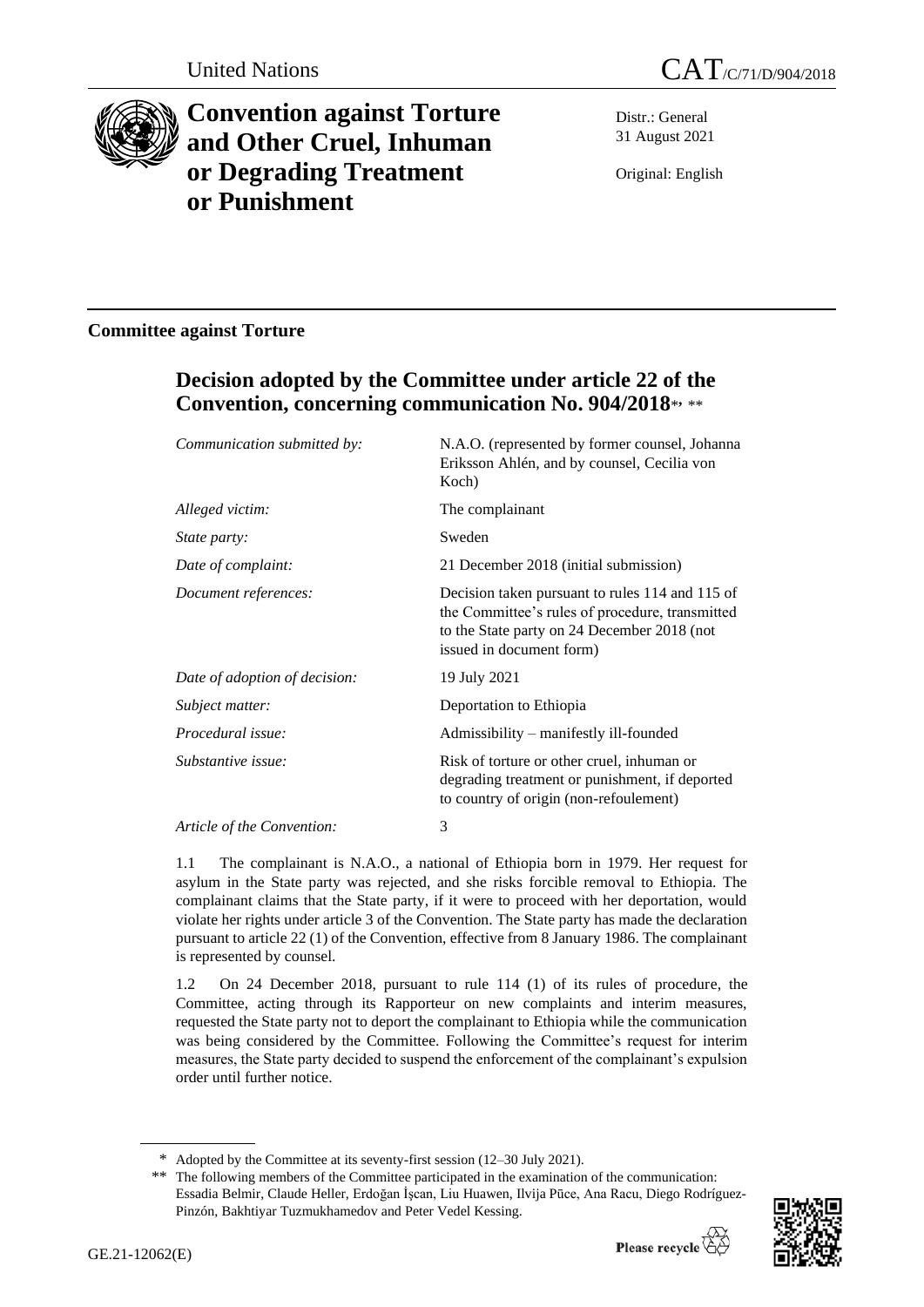



# **Convention against Torture and Other Cruel, Inhuman or Degrading Treatment or Punishment**

Distr.: General 31 August 2021

Original: English

### **Committee against Torture**

## **Decision adopted by the Committee under article 22 of the Convention, concerning communication No. 904/2018**\* **,** \*\*

| Communication submitted by:   | N.A.O. (represented by former counsel, Johanna<br>Eriksson Ahlén, and by counsel, Cecilia von<br>Koch)                                                                        |
|-------------------------------|-------------------------------------------------------------------------------------------------------------------------------------------------------------------------------|
| Alleged victim:               | The complainant                                                                                                                                                               |
| <i>State party:</i>           | Sweden                                                                                                                                                                        |
| Date of complaint:            | 21 December 2018 (initial submission)                                                                                                                                         |
| Document references:          | Decision taken pursuant to rules 114 and 115 of<br>the Committee's rules of procedure, transmitted<br>to the State party on 24 December 2018 (not<br>issued in document form) |
| Date of adoption of decision: | 19 July 2021                                                                                                                                                                  |
| Subject matter:               | Deportation to Ethiopia                                                                                                                                                       |
| Procedural issue:             | Admissibility – manifestly ill-founded                                                                                                                                        |
| Substantive issue:            | Risk of torture or other cruel, inhuman or<br>degrading treatment or punishment, if deported<br>to country of origin (non-refoulement)                                        |
| Article of the Convention:    | 3                                                                                                                                                                             |

1.1 The complainant is N.A.O., a national of Ethiopia born in 1979. Her request for asylum in the State party was rejected, and she risks forcible removal to Ethiopia. The complainant claims that the State party, if it were to proceed with her deportation, would violate her rights under article 3 of the Convention. The State party has made the declaration pursuant to article 22 (1) of the Convention, effective from 8 January 1986. The complainant is represented by counsel.

1.2 On 24 December 2018, pursuant to rule 114 (1) of its rules of procedure, the Committee, acting through its Rapporteur on new complaints and interim measures, requested the State party not to deport the complainant to Ethiopia while the communication was being considered by the Committee. Following the Committee's request for interim measures, the State party decided to suspend the enforcement of the complainant's expulsion order until further notice.

<sup>\*\*</sup> The following members of the Committee participated in the examination of the communication: Essadia Belmir, Claude Heller, Erdoğan İşcan, Liu Huawen, Ilvija Pūce, Ana Racu, Diego Rodríguez-Pinzón, Bakhtiyar Tuzmukhamedov and Peter Vedel Kessing.



<sup>\*</sup> Adopted by the Committee at its seventy-first session (12–30 July 2021).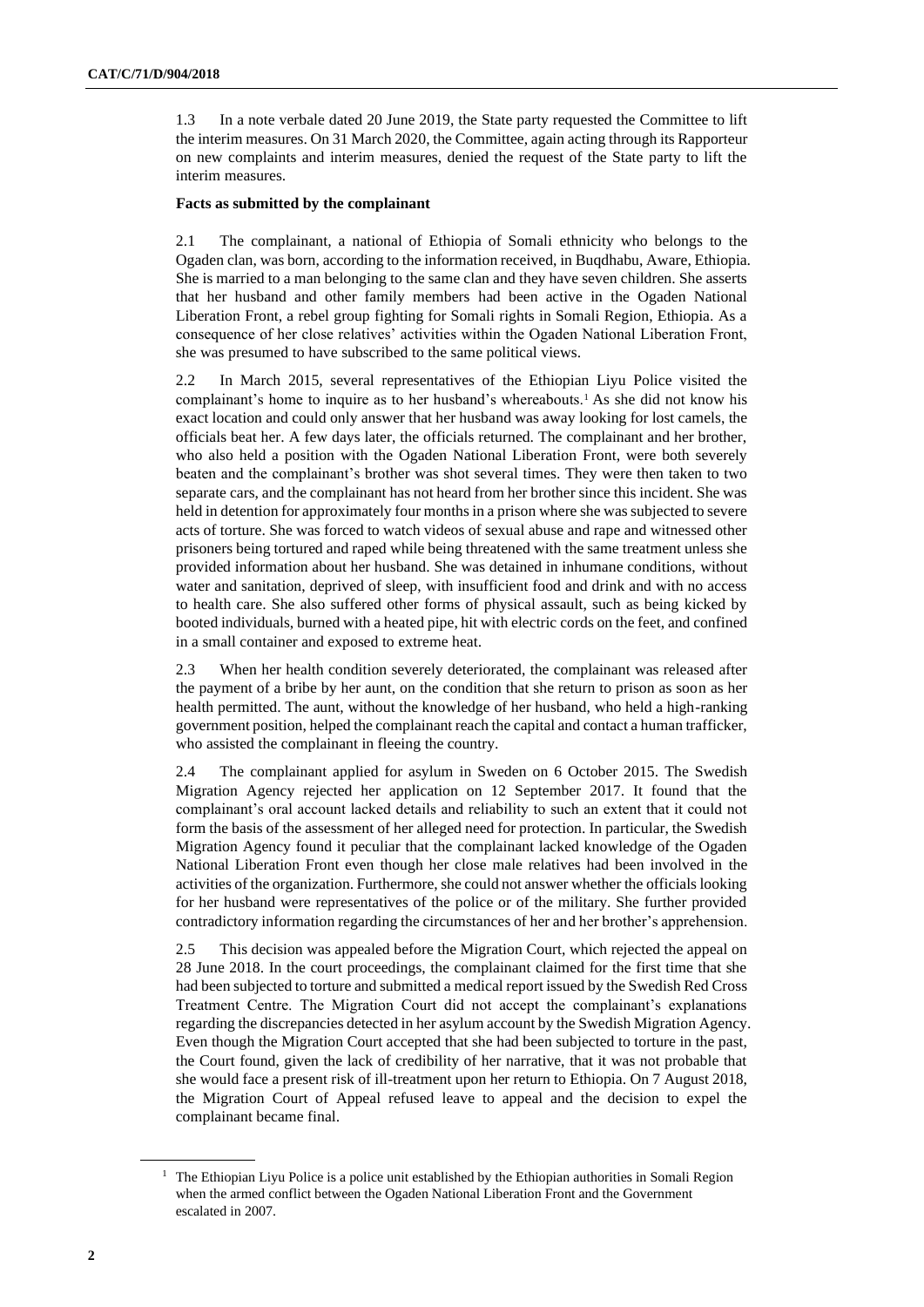1.3 In a note verbale dated 20 June 2019, the State party requested the Committee to lift the interim measures. On 31 March 2020, the Committee, again acting through its Rapporteur on new complaints and interim measures, denied the request of the State party to lift the interim measures.

#### **Facts as submitted by the complainant**

2.1 The complainant, a national of Ethiopia of Somali ethnicity who belongs to the Ogaden clan, was born, according to the information received, in Buqdhabu, Aware, Ethiopia. She is married to a man belonging to the same clan and they have seven children. She asserts that her husband and other family members had been active in the Ogaden National Liberation Front, a rebel group fighting for Somali rights in Somali Region, Ethiopia. As a consequence of her close relatives' activities within the Ogaden National Liberation Front, she was presumed to have subscribed to the same political views.

2.2 In March 2015, several representatives of the Ethiopian Liyu Police visited the complainant's home to inquire as to her husband's whereabouts.<sup>1</sup> As she did not know his exact location and could only answer that her husband was away looking for lost camels, the officials beat her. A few days later, the officials returned. The complainant and her brother, who also held a position with the Ogaden National Liberation Front, were both severely beaten and the complainant's brother was shot several times. They were then taken to two separate cars, and the complainant has not heard from her brother since this incident. She was held in detention for approximately four months in a prison where she was subjected to severe acts of torture. She was forced to watch videos of sexual abuse and rape and witnessed other prisoners being tortured and raped while being threatened with the same treatment unless she provided information about her husband. She was detained in inhumane conditions, without water and sanitation, deprived of sleep, with insufficient food and drink and with no access to health care. She also suffered other forms of physical assault, such as being kicked by booted individuals, burned with a heated pipe, hit with electric cords on the feet, and confined in a small container and exposed to extreme heat.

2.3 When her health condition severely deteriorated, the complainant was released after the payment of a bribe by her aunt, on the condition that she return to prison as soon as her health permitted. The aunt, without the knowledge of her husband, who held a high-ranking government position, helped the complainant reach the capital and contact a human trafficker, who assisted the complainant in fleeing the country.

2.4 The complainant applied for asylum in Sweden on 6 October 2015. The Swedish Migration Agency rejected her application on 12 September 2017. It found that the complainant's oral account lacked details and reliability to such an extent that it could not form the basis of the assessment of her alleged need for protection. In particular, the Swedish Migration Agency found it peculiar that the complainant lacked knowledge of the Ogaden National Liberation Front even though her close male relatives had been involved in the activities of the organization. Furthermore, she could not answer whether the officials looking for her husband were representatives of the police or of the military. She further provided contradictory information regarding the circumstances of her and her brother's apprehension.

2.5 This decision was appealed before the Migration Court, which rejected the appeal on 28 June 2018. In the court proceedings, the complainant claimed for the first time that she had been subjected to torture and submitted a medical report issued by the Swedish Red Cross Treatment Centre. The Migration Court did not accept the complainant's explanations regarding the discrepancies detected in her asylum account by the Swedish Migration Agency. Even though the Migration Court accepted that she had been subjected to torture in the past, the Court found, given the lack of credibility of her narrative, that it was not probable that she would face a present risk of ill-treatment upon her return to Ethiopia. On 7 August 2018, the Migration Court of Appeal refused leave to appeal and the decision to expel the complainant became final.

 $<sup>1</sup>$  The Ethiopian Liyu Police is a police unit established by the Ethiopian authorities in Somali Region</sup> when the armed conflict between the Ogaden National Liberation Front and the Government escalated in 2007.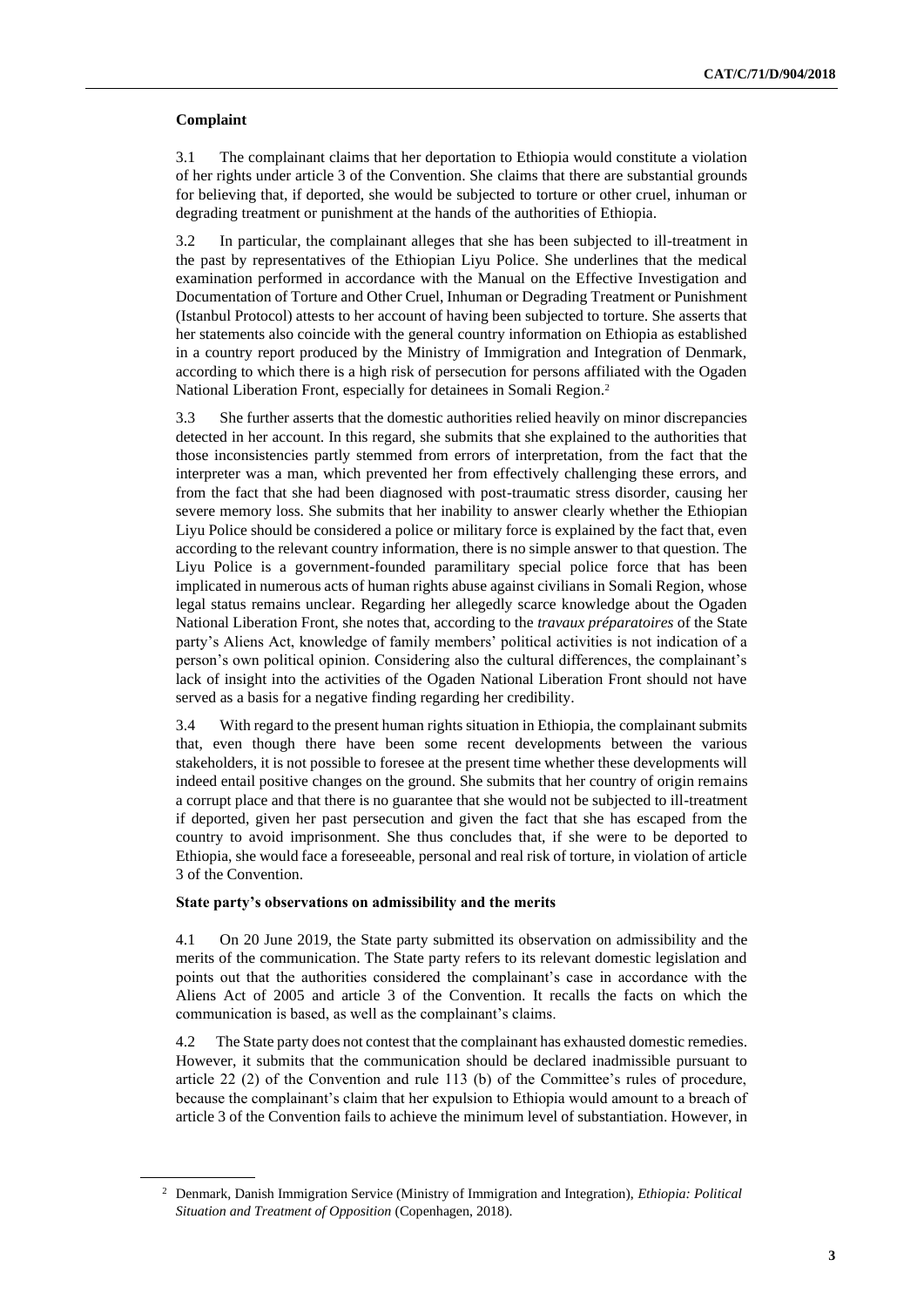#### **Complaint**

3.1 The complainant claims that her deportation to Ethiopia would constitute a violation of her rights under article 3 of the Convention. She claims that there are substantial grounds for believing that, if deported, she would be subjected to torture or other cruel, inhuman or degrading treatment or punishment at the hands of the authorities of Ethiopia.

3.2 In particular, the complainant alleges that she has been subjected to ill-treatment in the past by representatives of the Ethiopian Liyu Police. She underlines that the medical examination performed in accordance with the Manual on the Effective Investigation and Documentation of Torture and Other Cruel, Inhuman or Degrading Treatment or Punishment (Istanbul Protocol) attests to her account of having been subjected to torture. She asserts that her statements also coincide with the general country information on Ethiopia as established in a country report produced by the Ministry of Immigration and Integration of Denmark, according to which there is a high risk of persecution for persons affiliated with the Ogaden National Liberation Front, especially for detainees in Somali Region.<sup>2</sup>

3.3 She further asserts that the domestic authorities relied heavily on minor discrepancies detected in her account. In this regard, she submits that she explained to the authorities that those inconsistencies partly stemmed from errors of interpretation, from the fact that the interpreter was a man, which prevented her from effectively challenging these errors, and from the fact that she had been diagnosed with post-traumatic stress disorder, causing her severe memory loss. She submits that her inability to answer clearly whether the Ethiopian Liyu Police should be considered a police or military force is explained by the fact that, even according to the relevant country information, there is no simple answer to that question. The Liyu Police is a government-founded paramilitary special police force that has been implicated in numerous acts of human rights abuse against civilians in Somali Region, whose legal status remains unclear. Regarding her allegedly scarce knowledge about the Ogaden National Liberation Front, she notes that, according to the *travaux préparatoires* of the State party's Aliens Act, knowledge of family members' political activities is not indication of a person's own political opinion. Considering also the cultural differences, the complainant's lack of insight into the activities of the Ogaden National Liberation Front should not have served as a basis for a negative finding regarding her credibility.

3.4 With regard to the present human rights situation in Ethiopia, the complainant submits that, even though there have been some recent developments between the various stakeholders, it is not possible to foresee at the present time whether these developments will indeed entail positive changes on the ground. She submits that her country of origin remains a corrupt place and that there is no guarantee that she would not be subjected to ill-treatment if deported, given her past persecution and given the fact that she has escaped from the country to avoid imprisonment. She thus concludes that, if she were to be deported to Ethiopia, she would face a foreseeable, personal and real risk of torture, in violation of article 3 of the Convention.

#### **State party's observations on admissibility and the merits**

4.1 On 20 June 2019, the State party submitted its observation on admissibility and the merits of the communication. The State party refers to its relevant domestic legislation and points out that the authorities considered the complainant's case in accordance with the Aliens Act of 2005 and article 3 of the Convention. It recalls the facts on which the communication is based, as well as the complainant's claims.

4.2 The State party does not contest that the complainant has exhausted domestic remedies. However, it submits that the communication should be declared inadmissible pursuant to article 22 (2) of the Convention and rule 113 (b) of the Committee's rules of procedure, because the complainant's claim that her expulsion to Ethiopia would amount to a breach of article 3 of the Convention fails to achieve the minimum level of substantiation. However, in

<sup>2</sup> Denmark, Danish Immigration Service (Ministry of Immigration and Integration), *Ethiopia: Political Situation and Treatment of Opposition* (Copenhagen, 2018).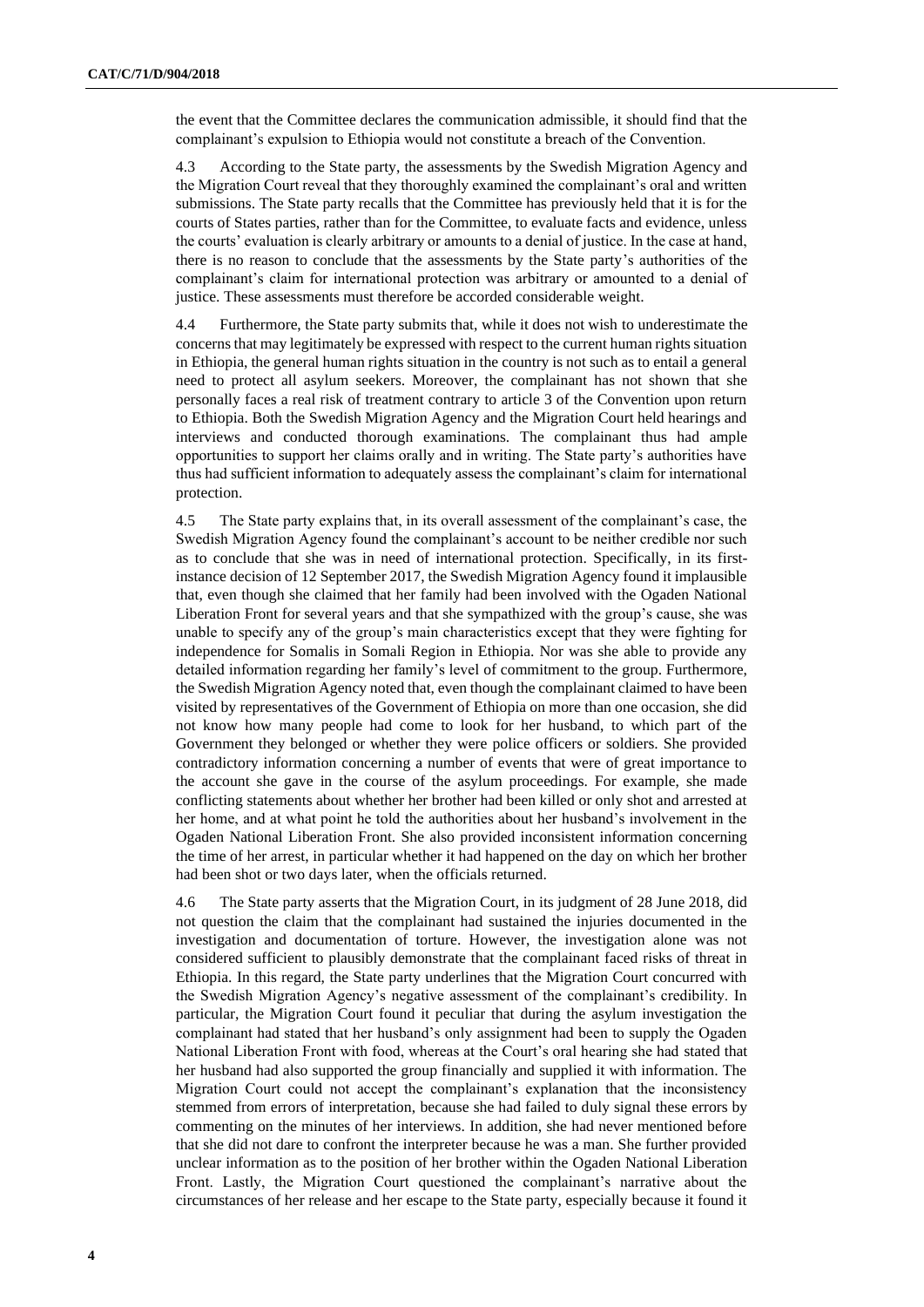the event that the Committee declares the communication admissible, it should find that the complainant's expulsion to Ethiopia would not constitute a breach of the Convention.

4.3 According to the State party, the assessments by the Swedish Migration Agency and the Migration Court reveal that they thoroughly examined the complainant's oral and written submissions. The State party recalls that the Committee has previously held that it is for the courts of States parties, rather than for the Committee, to evaluate facts and evidence, unless the courts' evaluation is clearly arbitrary or amounts to a denial of justice. In the case at hand, there is no reason to conclude that the assessments by the State party's authorities of the complainant's claim for international protection was arbitrary or amounted to a denial of justice. These assessments must therefore be accorded considerable weight.

4.4 Furthermore, the State party submits that, while it does not wish to underestimate the concerns that may legitimately be expressed with respect to the current human rights situation in Ethiopia, the general human rights situation in the country is not such as to entail a general need to protect all asylum seekers. Moreover, the complainant has not shown that she personally faces a real risk of treatment contrary to article 3 of the Convention upon return to Ethiopia. Both the Swedish Migration Agency and the Migration Court held hearings and interviews and conducted thorough examinations. The complainant thus had ample opportunities to support her claims orally and in writing. The State party's authorities have thus had sufficient information to adequately assess the complainant's claim for international protection.

4.5 The State party explains that, in its overall assessment of the complainant's case, the Swedish Migration Agency found the complainant's account to be neither credible nor such as to conclude that she was in need of international protection. Specifically, in its firstinstance decision of 12 September 2017, the Swedish Migration Agency found it implausible that, even though she claimed that her family had been involved with the Ogaden National Liberation Front for several years and that she sympathized with the group's cause, she was unable to specify any of the group's main characteristics except that they were fighting for independence for Somalis in Somali Region in Ethiopia. Nor was she able to provide any detailed information regarding her family's level of commitment to the group. Furthermore, the Swedish Migration Agency noted that, even though the complainant claimed to have been visited by representatives of the Government of Ethiopia on more than one occasion, she did not know how many people had come to look for her husband, to which part of the Government they belonged or whether they were police officers or soldiers. She provided contradictory information concerning a number of events that were of great importance to the account she gave in the course of the asylum proceedings. For example, she made conflicting statements about whether her brother had been killed or only shot and arrested at her home, and at what point he told the authorities about her husband's involvement in the Ogaden National Liberation Front. She also provided inconsistent information concerning the time of her arrest, in particular whether it had happened on the day on which her brother had been shot or two days later, when the officials returned.

4.6 The State party asserts that the Migration Court, in its judgment of 28 June 2018, did not question the claim that the complainant had sustained the injuries documented in the investigation and documentation of torture. However, the investigation alone was not considered sufficient to plausibly demonstrate that the complainant faced risks of threat in Ethiopia. In this regard, the State party underlines that the Migration Court concurred with the Swedish Migration Agency's negative assessment of the complainant's credibility. In particular, the Migration Court found it peculiar that during the asylum investigation the complainant had stated that her husband's only assignment had been to supply the Ogaden National Liberation Front with food, whereas at the Court's oral hearing she had stated that her husband had also supported the group financially and supplied it with information. The Migration Court could not accept the complainant's explanation that the inconsistency stemmed from errors of interpretation, because she had failed to duly signal these errors by commenting on the minutes of her interviews. In addition, she had never mentioned before that she did not dare to confront the interpreter because he was a man. She further provided unclear information as to the position of her brother within the Ogaden National Liberation Front. Lastly, the Migration Court questioned the complainant's narrative about the circumstances of her release and her escape to the State party, especially because it found it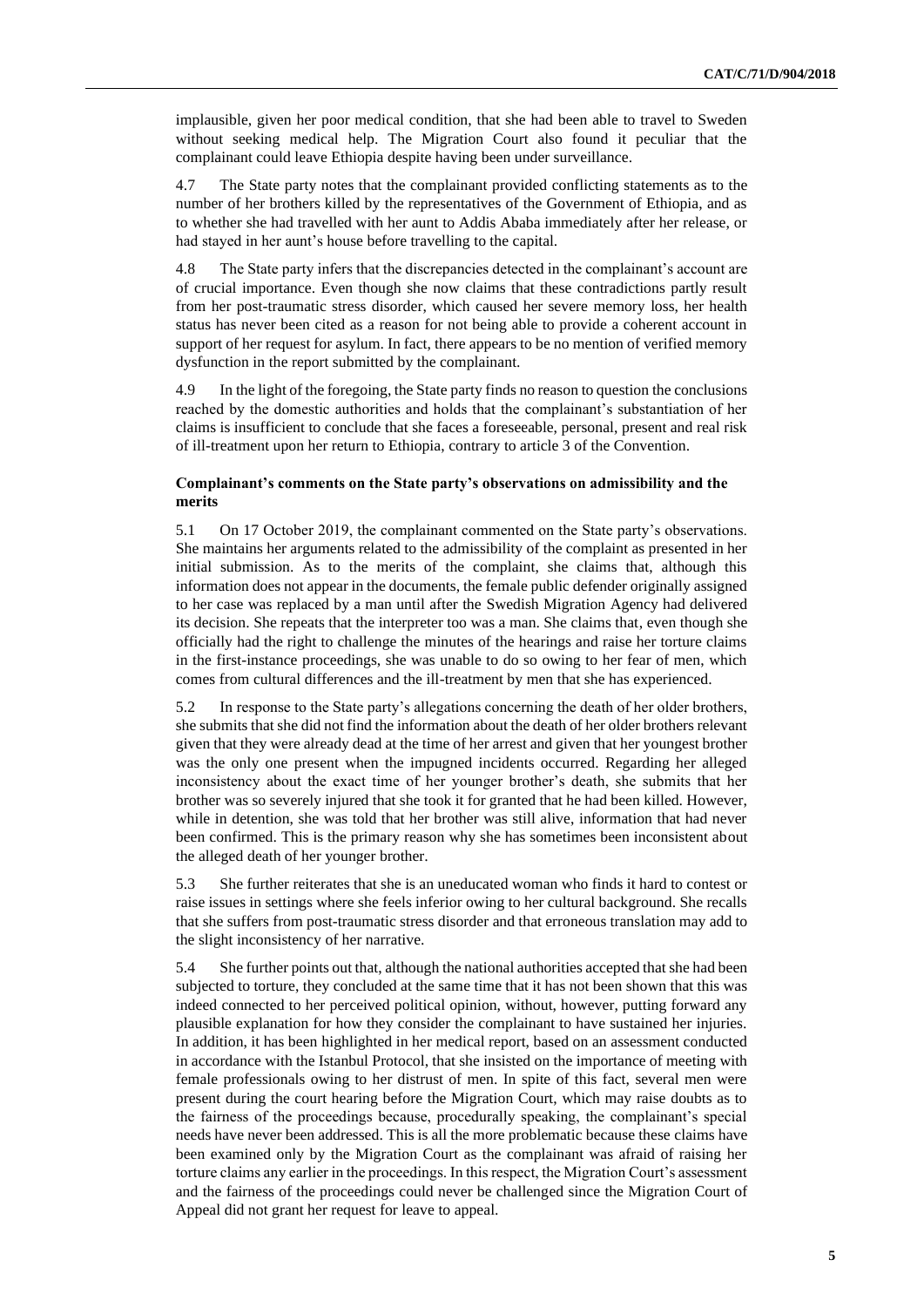implausible, given her poor medical condition, that she had been able to travel to Sweden without seeking medical help. The Migration Court also found it peculiar that the complainant could leave Ethiopia despite having been under surveillance.

4.7 The State party notes that the complainant provided conflicting statements as to the number of her brothers killed by the representatives of the Government of Ethiopia, and as to whether she had travelled with her aunt to Addis Ababa immediately after her release, or had stayed in her aunt's house before travelling to the capital.

4.8 The State party infers that the discrepancies detected in the complainant's account are of crucial importance. Even though she now claims that these contradictions partly result from her post-traumatic stress disorder, which caused her severe memory loss, her health status has never been cited as a reason for not being able to provide a coherent account in support of her request for asylum. In fact, there appears to be no mention of verified memory dysfunction in the report submitted by the complainant.

4.9 In the light of the foregoing, the State party finds no reason to question the conclusions reached by the domestic authorities and holds that the complainant's substantiation of her claims is insufficient to conclude that she faces a foreseeable, personal, present and real risk of ill-treatment upon her return to Ethiopia, contrary to article 3 of the Convention.

#### **Complainant's comments on the State party's observations on admissibility and the merits**

5.1 On 17 October 2019, the complainant commented on the State party's observations. She maintains her arguments related to the admissibility of the complaint as presented in her initial submission. As to the merits of the complaint, she claims that, although this information does not appear in the documents, the female public defender originally assigned to her case was replaced by a man until after the Swedish Migration Agency had delivered its decision. She repeats that the interpreter too was a man. She claims that, even though she officially had the right to challenge the minutes of the hearings and raise her torture claims in the first-instance proceedings, she was unable to do so owing to her fear of men, which comes from cultural differences and the ill-treatment by men that she has experienced.

5.2 In response to the State party's allegations concerning the death of her older brothers, she submits that she did not find the information about the death of her older brothers relevant given that they were already dead at the time of her arrest and given that her youngest brother was the only one present when the impugned incidents occurred. Regarding her alleged inconsistency about the exact time of her younger brother's death, she submits that her brother was so severely injured that she took it for granted that he had been killed. However, while in detention, she was told that her brother was still alive, information that had never been confirmed. This is the primary reason why she has sometimes been inconsistent about the alleged death of her younger brother.

5.3 She further reiterates that she is an uneducated woman who finds it hard to contest or raise issues in settings where she feels inferior owing to her cultural background. She recalls that she suffers from post-traumatic stress disorder and that erroneous translation may add to the slight inconsistency of her narrative.

5.4 She further points out that, although the national authorities accepted that she had been subjected to torture, they concluded at the same time that it has not been shown that this was indeed connected to her perceived political opinion, without, however, putting forward any plausible explanation for how they consider the complainant to have sustained her injuries. In addition, it has been highlighted in her medical report, based on an assessment conducted in accordance with the Istanbul Protocol, that she insisted on the importance of meeting with female professionals owing to her distrust of men. In spite of this fact, several men were present during the court hearing before the Migration Court, which may raise doubts as to the fairness of the proceedings because, procedurally speaking, the complainant's special needs have never been addressed. This is all the more problematic because these claims have been examined only by the Migration Court as the complainant was afraid of raising her torture claims any earlier in the proceedings. In this respect, the Migration Court's assessment and the fairness of the proceedings could never be challenged since the Migration Court of Appeal did not grant her request for leave to appeal.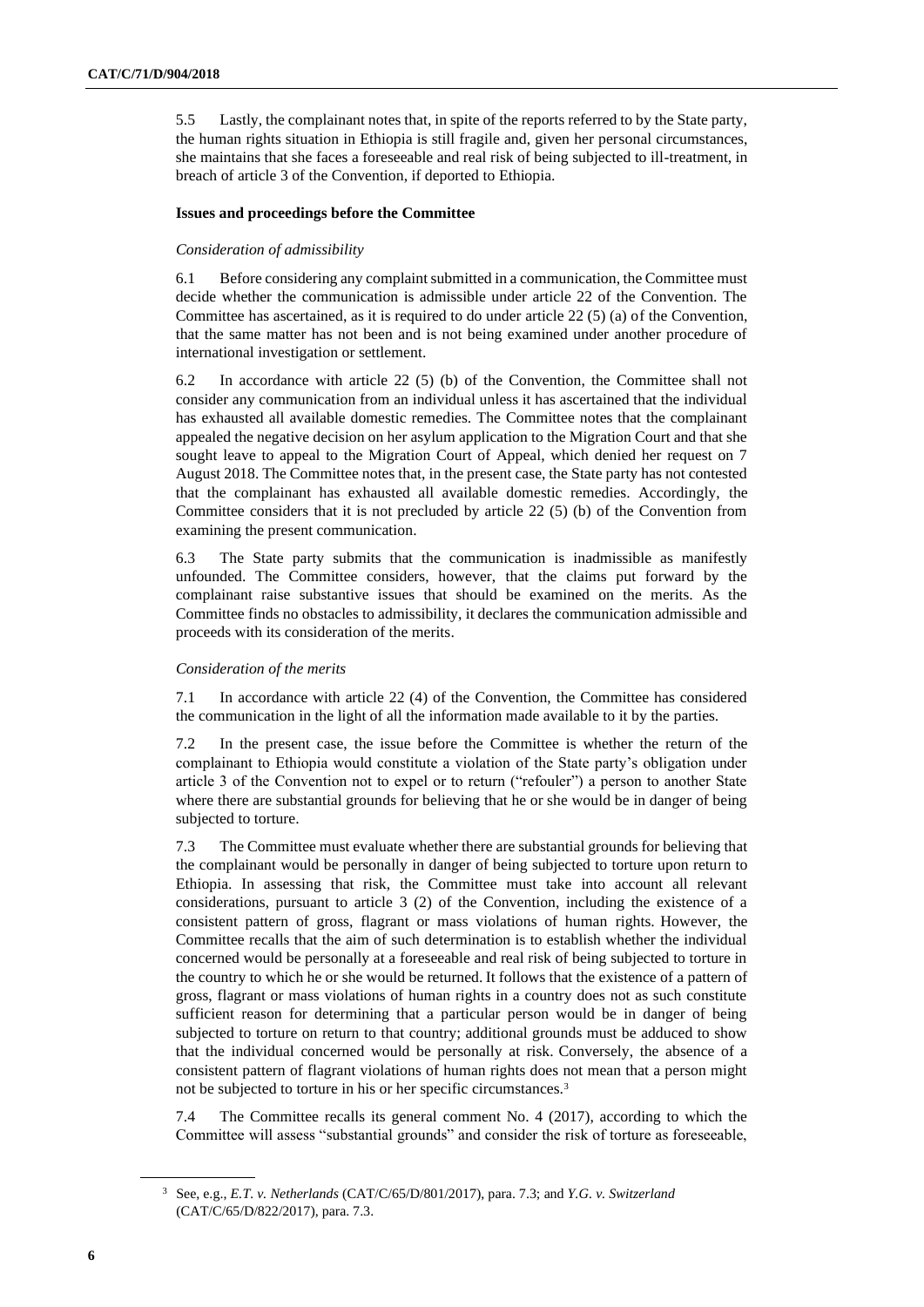5.5 Lastly, the complainant notes that, in spite of the reports referred to by the State party, the human rights situation in Ethiopia is still fragile and, given her personal circumstances, she maintains that she faces a foreseeable and real risk of being subjected to ill-treatment, in breach of article 3 of the Convention, if deported to Ethiopia.

#### **Issues and proceedings before the Committee**

#### *Consideration of admissibility*

6.1 Before considering any complaint submitted in a communication, the Committee must decide whether the communication is admissible under article 22 of the Convention. The Committee has ascertained, as it is required to do under article 22 (5) (a) of the Convention, that the same matter has not been and is not being examined under another procedure of international investigation or settlement.

6.2 In accordance with article 22 (5) (b) of the Convention, the Committee shall not consider any communication from an individual unless it has ascertained that the individual has exhausted all available domestic remedies. The Committee notes that the complainant appealed the negative decision on her asylum application to the Migration Court and that she sought leave to appeal to the Migration Court of Appeal, which denied her request on 7 August 2018. The Committee notes that, in the present case, the State party has not contested that the complainant has exhausted all available domestic remedies. Accordingly, the Committee considers that it is not precluded by article 22 (5) (b) of the Convention from examining the present communication.

6.3 The State party submits that the communication is inadmissible as manifestly unfounded. The Committee considers, however, that the claims put forward by the complainant raise substantive issues that should be examined on the merits. As the Committee finds no obstacles to admissibility, it declares the communication admissible and proceeds with its consideration of the merits.

#### *Consideration of the merits*

7.1 In accordance with article 22 (4) of the Convention, the Committee has considered the communication in the light of all the information made available to it by the parties.

7.2 In the present case, the issue before the Committee is whether the return of the complainant to Ethiopia would constitute a violation of the State party's obligation under article 3 of the Convention not to expel or to return ("refouler") a person to another State where there are substantial grounds for believing that he or she would be in danger of being subjected to torture.

7.3 The Committee must evaluate whether there are substantial grounds for believing that the complainant would be personally in danger of being subjected to torture upon return to Ethiopia. In assessing that risk, the Committee must take into account all relevant considerations, pursuant to article 3 (2) of the Convention, including the existence of a consistent pattern of gross, flagrant or mass violations of human rights. However, the Committee recalls that the aim of such determination is to establish whether the individual concerned would be personally at a foreseeable and real risk of being subjected to torture in the country to which he or she would be returned. It follows that the existence of a pattern of gross, flagrant or mass violations of human rights in a country does not as such constitute sufficient reason for determining that a particular person would be in danger of being subjected to torture on return to that country; additional grounds must be adduced to show that the individual concerned would be personally at risk. Conversely, the absence of a consistent pattern of flagrant violations of human rights does not mean that a person might not be subjected to torture in his or her specific circumstances.<sup>3</sup>

7.4 The Committee recalls its general comment No. 4 (2017), according to which the Committee will assess "substantial grounds" and consider the risk of torture as foreseeable,

<sup>3</sup> See, e.g., *E.T. v. Netherlands* (CAT/C/65/D/801/2017), para. 7.3; and *Y.G. v. Switzerland* (CAT/C/65/D/822/2017), para. 7.3.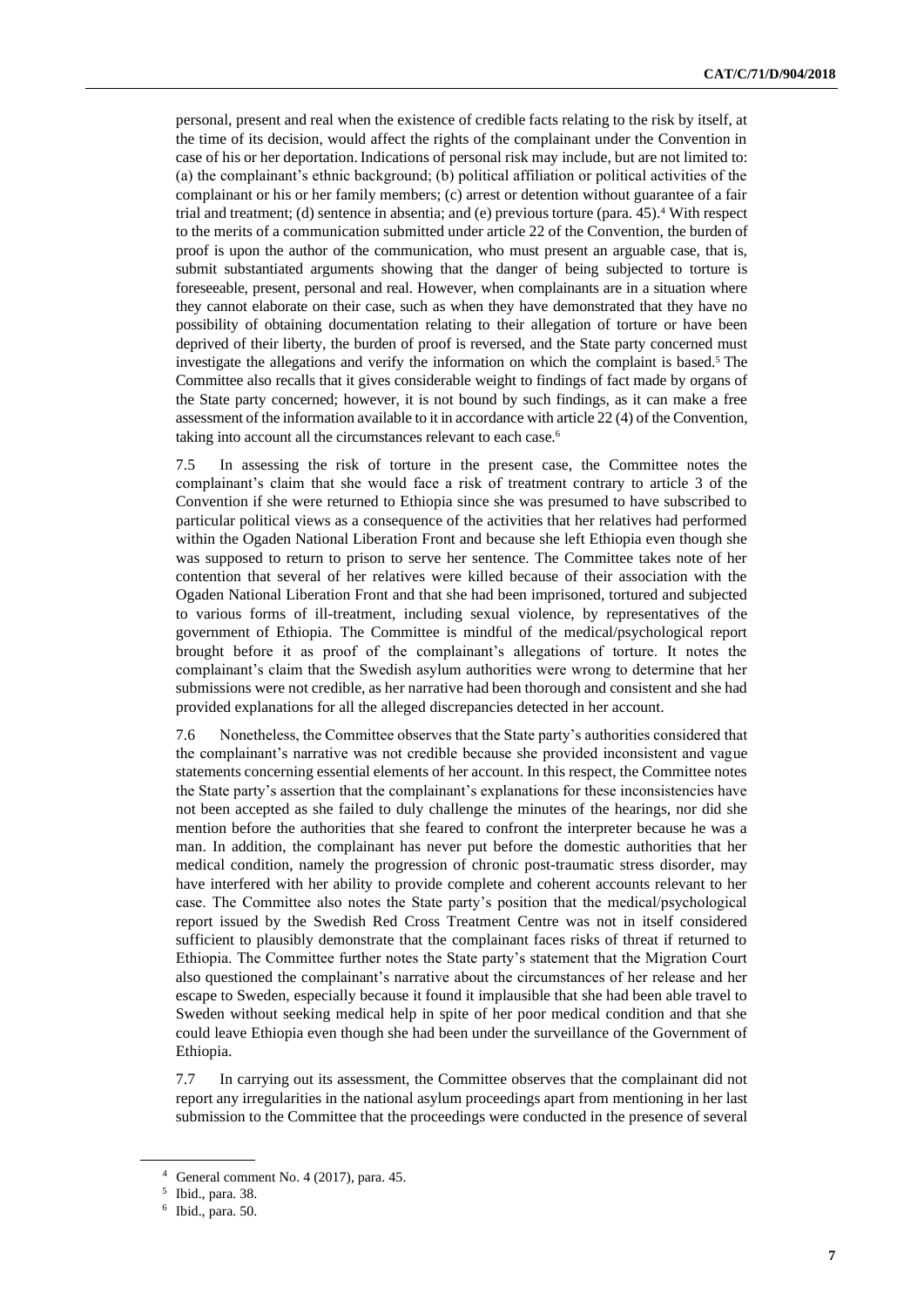personal, present and real when the existence of credible facts relating to the risk by itself, at the time of its decision, would affect the rights of the complainant under the Convention in case of his or her deportation. Indications of personal risk may include, but are not limited to: (a) the complainant's ethnic background; (b) political affiliation or political activities of the complainant or his or her family members; (c) arrest or detention without guarantee of a fair trial and treatment; (d) sentence in absentia; and (e) previous torture (para. 45).<sup>4</sup> With respect to the merits of a communication submitted under article 22 of the Convention, the burden of proof is upon the author of the communication, who must present an arguable case, that is, submit substantiated arguments showing that the danger of being subjected to torture is foreseeable, present, personal and real. However, when complainants are in a situation where they cannot elaborate on their case, such as when they have demonstrated that they have no possibility of obtaining documentation relating to their allegation of torture or have been deprived of their liberty, the burden of proof is reversed, and the State party concerned must investigate the allegations and verify the information on which the complaint is based.<sup>5</sup> The Committee also recalls that it gives considerable weight to findings of fact made by organs of the State party concerned; however, it is not bound by such findings, as it can make a free assessment of the information available to it in accordance with article 22 (4) of the Convention, taking into account all the circumstances relevant to each case.<sup>6</sup>

7.5 In assessing the risk of torture in the present case, the Committee notes the complainant's claim that she would face a risk of treatment contrary to article 3 of the Convention if she were returned to Ethiopia since she was presumed to have subscribed to particular political views as a consequence of the activities that her relatives had performed within the Ogaden National Liberation Front and because she left Ethiopia even though she was supposed to return to prison to serve her sentence. The Committee takes note of her contention that several of her relatives were killed because of their association with the Ogaden National Liberation Front and that she had been imprisoned, tortured and subjected to various forms of ill-treatment, including sexual violence, by representatives of the government of Ethiopia. The Committee is mindful of the medical/psychological report brought before it as proof of the complainant's allegations of torture. It notes the complainant's claim that the Swedish asylum authorities were wrong to determine that her submissions were not credible, as her narrative had been thorough and consistent and she had provided explanations for all the alleged discrepancies detected in her account.

7.6 Nonetheless, the Committee observes that the State party's authorities considered that the complainant's narrative was not credible because she provided inconsistent and vague statements concerning essential elements of her account. In this respect, the Committee notes the State party's assertion that the complainant's explanations for these inconsistencies have not been accepted as she failed to duly challenge the minutes of the hearings, nor did she mention before the authorities that she feared to confront the interpreter because he was a man. In addition, the complainant has never put before the domestic authorities that her medical condition, namely the progression of chronic post-traumatic stress disorder, may have interfered with her ability to provide complete and coherent accounts relevant to her case. The Committee also notes the State party's position that the medical/psychological report issued by the Swedish Red Cross Treatment Centre was not in itself considered sufficient to plausibly demonstrate that the complainant faces risks of threat if returned to Ethiopia. The Committee further notes the State party's statement that the Migration Court also questioned the complainant's narrative about the circumstances of her release and her escape to Sweden, especially because it found it implausible that she had been able travel to Sweden without seeking medical help in spite of her poor medical condition and that she could leave Ethiopia even though she had been under the surveillance of the Government of Ethiopia.

7.7 In carrying out its assessment, the Committee observes that the complainant did not report any irregularities in the national asylum proceedings apart from mentioning in her last submission to the Committee that the proceedings were conducted in the presence of several

<sup>4</sup> General comment No. 4 (2017), para. 45.

<sup>5</sup> Ibid., para. 38.

<sup>6</sup> Ibid., para. 50.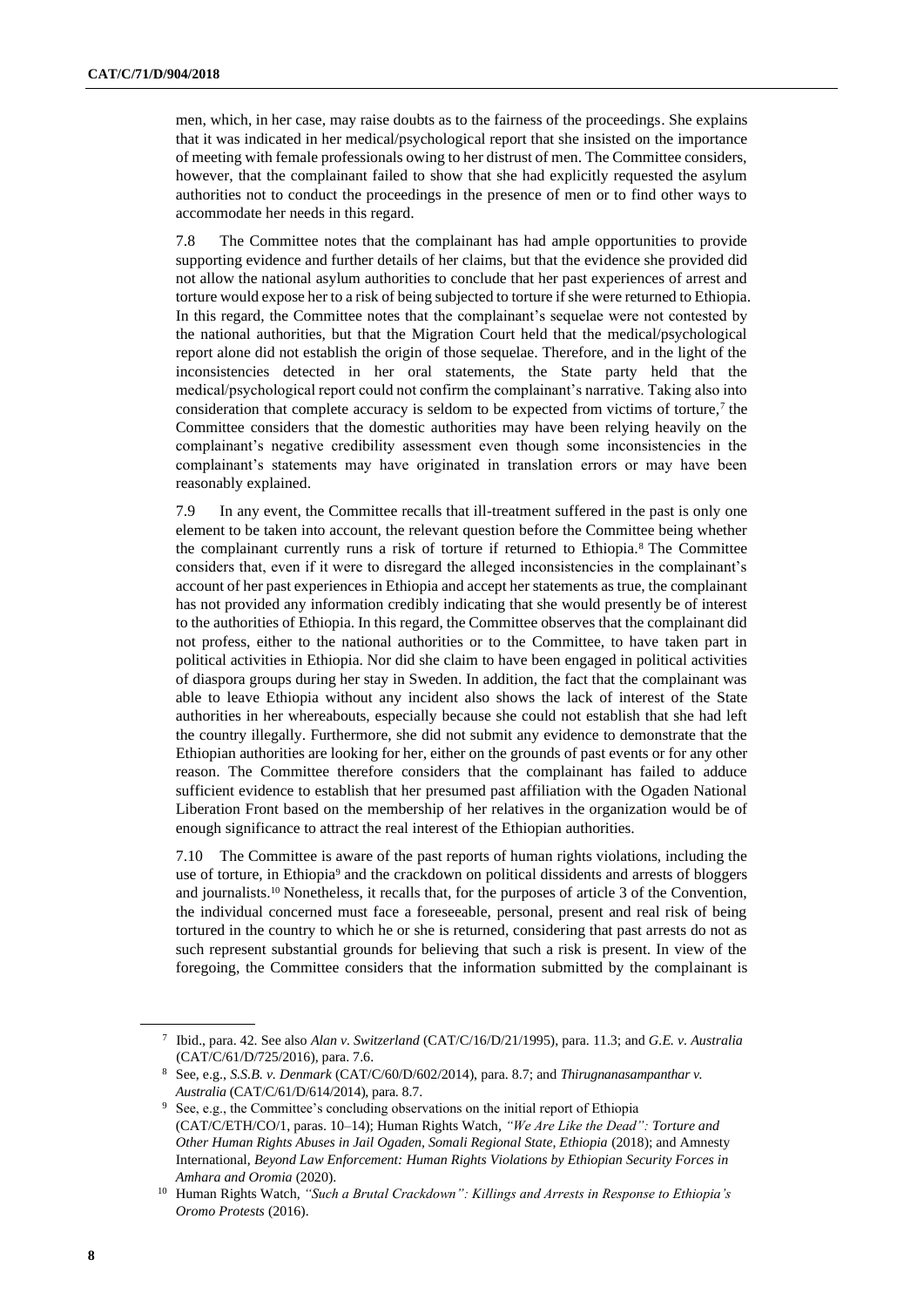men, which, in her case, may raise doubts as to the fairness of the proceedings. She explains that it was indicated in her medical/psychological report that she insisted on the importance of meeting with female professionals owing to her distrust of men. The Committee considers, however, that the complainant failed to show that she had explicitly requested the asylum authorities not to conduct the proceedings in the presence of men or to find other ways to accommodate her needs in this regard.

7.8 The Committee notes that the complainant has had ample opportunities to provide supporting evidence and further details of her claims, but that the evidence she provided did not allow the national asylum authorities to conclude that her past experiences of arrest and torture would expose her to a risk of being subjected to torture if she were returned to Ethiopia. In this regard, the Committee notes that the complainant's sequelae were not contested by the national authorities, but that the Migration Court held that the medical/psychological report alone did not establish the origin of those sequelae. Therefore, and in the light of the inconsistencies detected in her oral statements, the State party held that the medical/psychological report could not confirm the complainant's narrative. Taking also into consideration that complete accuracy is seldom to be expected from victims of torture, $\tau$  the Committee considers that the domestic authorities may have been relying heavily on the complainant's negative credibility assessment even though some inconsistencies in the complainant's statements may have originated in translation errors or may have been reasonably explained.

7.9 In any event, the Committee recalls that ill-treatment suffered in the past is only one element to be taken into account, the relevant question before the Committee being whether the complainant currently runs a risk of torture if returned to Ethiopia.<sup>8</sup> The Committee considers that, even if it were to disregard the alleged inconsistencies in the complainant's account of her past experiences in Ethiopia and accept her statements as true, the complainant has not provided any information credibly indicating that she would presently be of interest to the authorities of Ethiopia. In this regard, the Committee observes that the complainant did not profess, either to the national authorities or to the Committee, to have taken part in political activities in Ethiopia. Nor did she claim to have been engaged in political activities of diaspora groups during her stay in Sweden. In addition, the fact that the complainant was able to leave Ethiopia without any incident also shows the lack of interest of the State authorities in her whereabouts, especially because she could not establish that she had left the country illegally. Furthermore, she did not submit any evidence to demonstrate that the Ethiopian authorities are looking for her, either on the grounds of past events or for any other reason. The Committee therefore considers that the complainant has failed to adduce sufficient evidence to establish that her presumed past affiliation with the Ogaden National Liberation Front based on the membership of her relatives in the organization would be of enough significance to attract the real interest of the Ethiopian authorities.

7.10 The Committee is aware of the past reports of human rights violations, including the use of torture, in Ethiopia<sup>9</sup> and the crackdown on political dissidents and arrests of bloggers and journalists.<sup>10</sup> Nonetheless, it recalls that, for the purposes of article 3 of the Convention, the individual concerned must face a foreseeable, personal, present and real risk of being tortured in the country to which he or she is returned, considering that past arrests do not as such represent substantial grounds for believing that such a risk is present. In view of the foregoing, the Committee considers that the information submitted by the complainant is

<sup>7</sup> Ibid., para. 42. See also *Alan v. Switzerland* (CAT/C/16/D/21/1995), para. 11.3; and *G.E. v. Australia* (CAT/C/61/D/725/2016), para. 7.6.

<sup>8</sup> See, e.g., *S.S.B. v. Denmark* (CAT/C/60/D/602/2014), para. 8.7; and *Thirugnanasampanthar v. Australia* (CAT/C/61/D/614/2014), para. 8.7.

<sup>&</sup>lt;sup>9</sup> See, e.g., the Committee's concluding observations on the initial report of Ethiopia (CAT/C/ETH/CO/1, paras. 10–14); Human Rights Watch, *"We Are Like the Dead": Torture and Other Human Rights Abuses in Jail Ogaden, Somali Regional State, Ethiopia* (2018); and Amnesty International, *Beyond Law Enforcement: Human Rights Violations by Ethiopian Security Forces in Amhara and Oromia* (2020).

<sup>10</sup> Human Rights Watch, *"Such a Brutal Crackdown": Killings and Arrests in Response to Ethiopia's Oromo Protests* (2016).